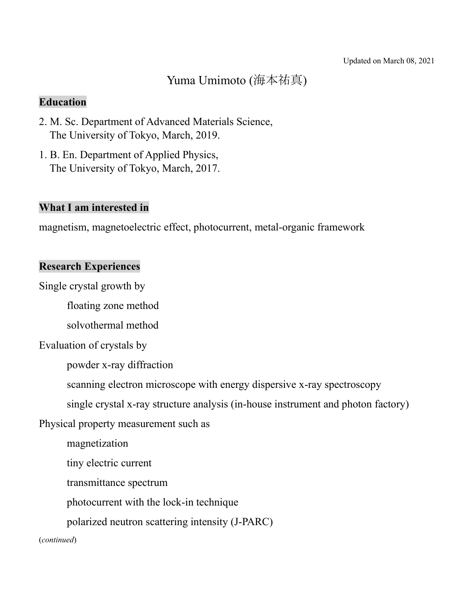# Yuma Umimoto (海本祐真)

# **Education**

- 2. M. Sc. Department of Advanced Materials Science, The University of Tokyo, March, 2019.
- 1. B. En. Department of Applied Physics, The University of Tokyo, March, 2017.

# **What I am interested in**

magnetism, magnetoelectric effect, photocurrent, metal-organic framework

## **Research Experiences**

Single crystal growth by

floating zone method

solvothermal method

Evaluation of crystals by

powder x-ray diffraction

scanning electron microscope with energy dispersive x-ray spectroscopy

single crystal x-ray structure analysis (in-house instrument and photon factory)

Physical property measurement such as

magnetization

tiny electric current

transmittance spectrum

photocurrent with the lock-in technique

polarized neutron scattering intensity (J-PARC)

#### (*continued*)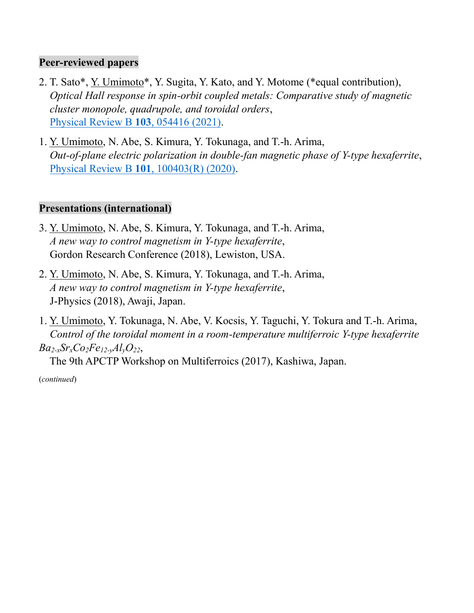### **Peer-reviewed papers**

- 2. T. Sato\*, Y. Umimoto\*, Y. Sugita, Y. Kato, and Y. Motome (\*equal contribution), *Optical Hall response in spin-orbit coupled metals: Comparative study of magnetic cluster monopole, quadrupole, and toroidal orders*, [Physical Review B](https://journals.aps.org/prb/abstract/10.1103/PhysRevB.103.054416) **103**, 054416 (2021).
- 1. Y. Umimoto, N. Abe, S. Kimura, Y. Tokunaga, and T.-h. Arima, *Out-of-plane electric polarization in double-fan magnetic phase of Y-type hexaferrite*, [Physical Review B](https://journals.aps.org/prb/abstract/10.1103/PhysRevB.101.100403) **101**, 100403(R) (2020).

# **Presentations (international)**

- 3. Y. Umimoto, N. Abe, S. Kimura, Y. Tokunaga, and T.-h. Arima, *A new way to control magnetism in Y-type hexaferrite*, Gordon Research Conference (2018), Lewiston, USA.
- 2. Y. Umimoto, N. Abe, S. Kimura, Y. Tokunaga, and T.-h. Arima, *A new way to control magnetism in Y-type hexaferrite*, J-Physics (2018), Awaji, Japan.
- 1. Y. Umimoto, Y. Tokunaga, N. Abe, V. Kocsis, Y. Taguchi, Y. Tokura and T.-h. Arima, *Control of the toroidal moment in a room-temperature multiferroic Y-type hexaferrite*   $Ba_{2-x}Sr_{x}Co_{2}Fe_{12-y}Al_{y}O_{22}$

The 9th APCTP Workshop on Multiferroics (2017), Kashiwa, Japan.

(*continued*)